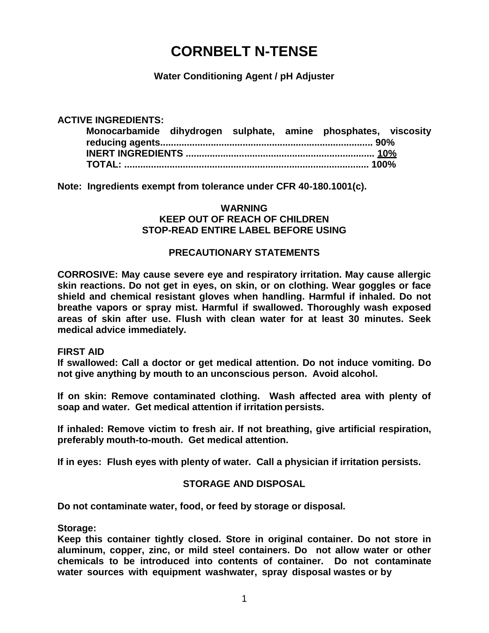# **CORNBELT N-TENSE**

**Water Conditioning Agent / pH Adjuster**

**ACTIVE INGREDIENTS: Monocarbamide dihydrogen sulphate, amine phosphates, viscosity reducing agents................................................................................ 90% INERT INGREDIENTS ....................................................................... 10% TOTAL: ............................................................................................ 100%**

**Note: Ingredients exempt from tolerance under CFR 40-180.1001(c).**

## **WARNING KEEP OUT OF REACH OF CHILDREN STOP-READ ENTIRE LABEL BEFORE USING**

# **PRECAUTIONARY STATEMENTS**

**CORROSIVE: May cause severe eye and respiratory irritation. May cause allergic skin reactions. Do not get in eyes, on skin, or on clothing. Wear goggles or face shield and chemical resistant gloves when handling. Harmful if inhaled. Do not breathe vapors or spray mist. Harmful if swallowed. Thoroughly wash exposed areas of skin after use. Flush with clean water for at least 30 minutes. Seek medical advice immediately.**

#### **FIRST AID**

**If swallowed: Call a doctor or get medical attention. Do not induce vomiting. Do not give anything by mouth to an unconscious person. Avoid alcohol.**

**If on skin: Remove contaminated clothing. Wash affected area with plenty of soap and water. Get medical attention if irritation persists.**

**If inhaled: Remove victim to fresh air. If not breathing, give artificial respiration, preferably mouth-to-mouth. Get medical attention.**

**If in eyes: Flush eyes with plenty of water. Call a physician if irritation persists.**

# **STORAGE AND DISPOSAL**

**Do not contaminate water, food, or feed by storage or disposal.** 

**Storage:**

**Keep this container tightly closed. Store in original container. Do not store in aluminum, copper, zinc, or mild steel containers. Do not allow water or other chemicals to be introduced into contents of container. Do not contaminate water sources with equipment washwater, spray disposal wastes or by**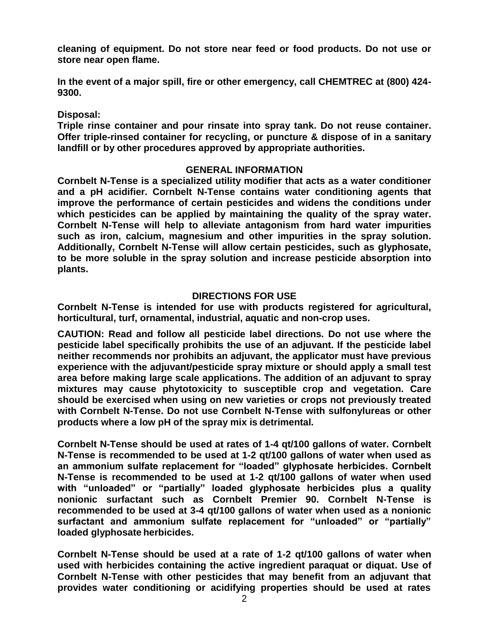**cleaning of equipment. Do not store near feed or food products. Do not use or store near open flame.**

**In the event of a major spill, fire or other emergency, call CHEMTREC at (800) 424- 9300.**

**Disposal:**

**Triple rinse container and pour rinsate into spray tank. Do not reuse container. Offer triple-rinsed container for recycling, or puncture & dispose of in a sanitary landfill or by other procedures approved by appropriate authorities.**

#### **GENERAL INFORMATION**

**Cornbelt N-Tense is a specialized utility modifier that acts as a water conditioner and a pH acidifier. Cornbelt N-Tense contains water conditioning agents that improve the performance of certain pesticides and widens the conditions under which pesticides can be applied by maintaining the quality of the spray water. Cornbelt N-Tense will help to alleviate antagonism from hard water impurities such as iron, calcium, magnesium and other impurities in the spray solution. Additionally, Cornbelt N-Tense will allow certain pesticides, such as glyphosate, to be more soluble in the spray solution and increase pesticide absorption into plants.**

## **DIRECTIONS FOR USE**

**Cornbelt N-Tense is intended for use with products registered for agricultural, horticultural, turf, ornamental, industrial, aquatic and non-crop uses.**

**CAUTION: Read and follow all pesticide label directions. Do not use where the pesticide label specifically prohibits the use of an adjuvant. If the pesticide label neither recommends nor prohibits an adjuvant, the applicator must have previous experience with the adjuvant/pesticide spray mixture or should apply a small test area before making large scale applications. The addition of an adjuvant to spray mixtures may cause phytotoxicity to susceptible crop and vegetation. Care should be exercised when using on new varieties or crops not previously treated with Cornbelt N-Tense. Do not use Cornbelt N-Tense with sulfonylureas or other products where a low pH of the spray mix is detrimental.**

**Cornbelt N-Tense should be used at rates of 1-4 qt/100 gallons of water. Cornbelt N-Tense is recommended to be used at 1-2 qt/100 gallons of water when used as an ammonium sulfate replacement for "loaded" glyphosate herbicides. Cornbelt N-Tense is recommended to be used at 1-2 qt/100 gallons of water when used with "unloaded" or "partially" loaded glyphosate herbicides plus a quality nonionic surfactant such as Cornbelt Premier 90. Cornbelt N-Tense is recommended to be used at 3-4 qt/100 gallons of water when used as a nonionic surfactant and ammonium sulfate replacement for "unloaded" or "partially" loaded glyphosate herbicides.**

**Cornbelt N-Tense should be used at a rate of 1-2 qt/100 gallons of water when used with herbicides containing the active ingredient paraquat or diquat. Use of Cornbelt N-Tense with other pesticides that may benefit from an adjuvant that provides water conditioning or acidifying properties should be used at rates**